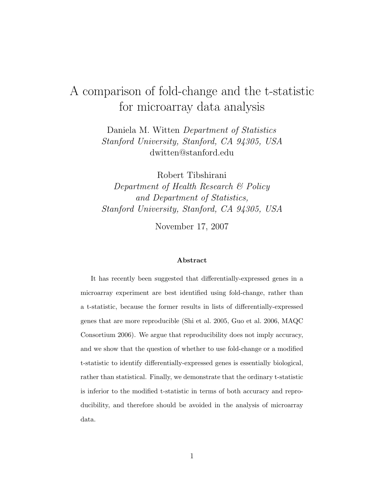## A comparison of fold-change and the t-statistic for microarray data analysis

Daniela M. Witten Department of Statistics Stanford University, Stanford, CA 94305, USA dwitten@stanford.edu

Robert Tibshirani Department of Health Research & Policy and Department of Statistics, Stanford University, Stanford, CA 94305, USA

November 17, 2007

#### Abstract

It has recently been suggested that differentially-expressed genes in a microarray experiment are best identified using fold-change, rather than a t-statistic, because the former results in lists of differentially-expressed genes that are more reproducible (Shi et al. 2005, Guo et al. 2006, MAQC Consortium 2006). We argue that reproducibility does not imply accuracy, and we show that the question of whether to use fold-change or a modified t-statistic to identify differentially-expressed genes is essentially biological, rather than statistical. Finally, we demonstrate that the ordinary t-statistic is inferior to the modified t-statistic in terms of both accuracy and reproducibility, and therefore should be avoided in the analysis of microarray data.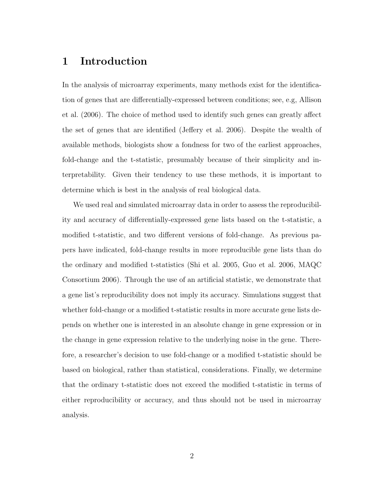## 1 Introduction

In the analysis of microarray experiments, many methods exist for the identification of genes that are differentially-expressed between conditions; see, e.g, Allison et al. (2006). The choice of method used to identify such genes can greatly affect the set of genes that are identified (Jeffery et al. 2006). Despite the wealth of available methods, biologists show a fondness for two of the earliest approaches, fold-change and the t-statistic, presumably because of their simplicity and interpretability. Given their tendency to use these methods, it is important to determine which is best in the analysis of real biological data.

We used real and simulated microarray data in order to assess the reproducibility and accuracy of differentially-expressed gene lists based on the t-statistic, a modified t-statistic, and two different versions of fold-change. As previous papers have indicated, fold-change results in more reproducible gene lists than do the ordinary and modified t-statistics (Shi et al. 2005, Guo et al. 2006, MAQC Consortium 2006). Through the use of an artificial statistic, we demonstrate that a gene list's reproducibility does not imply its accuracy. Simulations suggest that whether fold-change or a modified t-statistic results in more accurate gene lists depends on whether one is interested in an absolute change in gene expression or in the change in gene expression relative to the underlying noise in the gene. Therefore, a researcher's decision to use fold-change or a modified t-statistic should be based on biological, rather than statistical, considerations. Finally, we determine that the ordinary t-statistic does not exceed the modified t-statistic in terms of either reproducibility or accuracy, and thus should not be used in microarray analysis.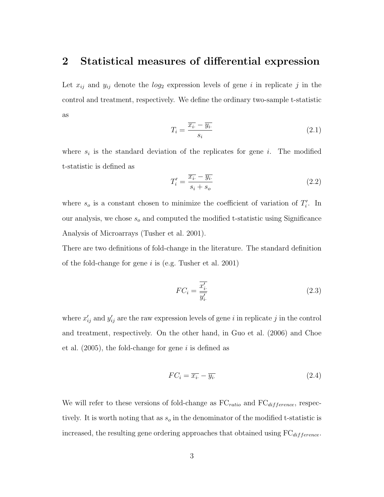### 2 Statistical measures of differential expression

Let  $x_{ij}$  and  $y_{ij}$  denote the  $log_2$  expression levels of gene i in replicate j in the control and treatment, respectively. We define the ordinary two-sample t-statistic as

$$
T_i = \frac{\overline{x_i} - \overline{y_i}}{s_i} \tag{2.1}
$$

where  $s_i$  is the standard deviation of the replicates for gene i. The modified t-statistic is defined as

$$
T_i' = \frac{\overline{x_i} - \overline{y_i}}{s_i + s_o} \tag{2.2}
$$

where  $s_o$  is a constant chosen to minimize the coefficient of variation of  $T_i'$ . In our analysis, we chose  $s_o$  and computed the modified t-statistic using Significance Analysis of Microarrays (Tusher et al. 2001).

There are two definitions of fold-change in the literature. The standard definition of the fold-change for gene  $i$  is (e.g. Tusher et al. 2001)

$$
FC_i = \frac{\overline{x_i'}}{\overline{y_i'}}\tag{2.3}
$$

where  $x'_{ij}$  and  $y'_{ij}$  are the raw expression levels of gene i in replicate j in the control and treatment, respectively. On the other hand, in Guo et al. (2006) and Choe et al.  $(2005)$ , the fold-change for gene i is defined as

$$
FC_i = \overline{x_i} - \overline{y_i} \tag{2.4}
$$

We will refer to these versions of fold-change as  $FC_{ratio}$  and  $FC_{difference}$ , respectively. It is worth noting that as  $s_o$  in the denominator of the modified t-statistic is increased, the resulting gene ordering approaches that obtained using  $FC_{difference}$ .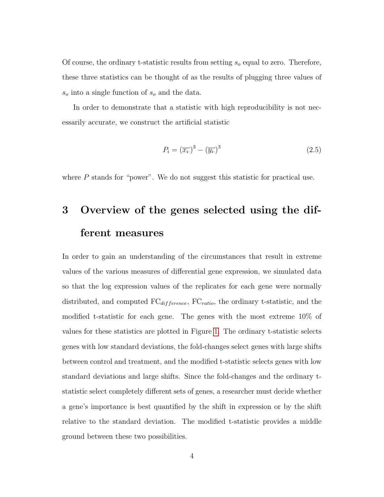Of course, the ordinary t-statistic results from setting  $s<sub>o</sub>$  equal to zero. Therefore, these three statistics can be thought of as the results of plugging three values of  $s_o$  into a single function of  $s_o$  and the data.

In order to demonstrate that a statistic with high reproducibility is not necessarily accurate, we construct the artificial statistic

$$
P_i = \left(\overline{x_i}\right)^3 - \left(\overline{y_i}\right)^3\tag{2.5}
$$

where P stands for "power". We do not suggest this statistic for practical use.

# 3 Overview of the genes selected using the different measures

In order to gain an understanding of the circumstances that result in extreme values of the various measures of differential gene expression, we simulated data so that the log expression values of the replicates for each gene were normally distributed, and computed  $FC_{difference}$ ,  $FC_{ratio}$ , the ordinary t-statistic, and the modified t-statistic for each gene. The genes with the most extreme 10% of values for these statistics are plotted in Figure [1.](#page-4-0) The ordinary t-statistic selects genes with low standard deviations, the fold-changes select genes with large shifts between control and treatment, and the modified t-statistic selects genes with low standard deviations and large shifts. Since the fold-changes and the ordinary tstatistic select completely different sets of genes, a researcher must decide whether a gene's importance is best quantified by the shift in expression or by the shift relative to the standard deviation. The modified t-statistic provides a middle ground between these two possibilities.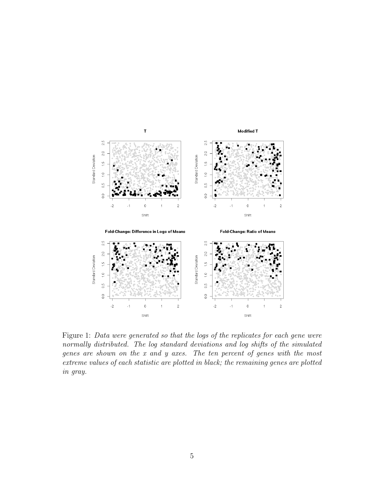

<span id="page-4-0"></span>Figure 1: Data were generated so that the logs of the replicates for each gene were normally distributed. The log standard deviations and log shifts of the simulated genes are shown on the x and y axes. The ten percent of genes with the most extreme values of each statistic are plotted in black; the remaining genes are plotted in gray.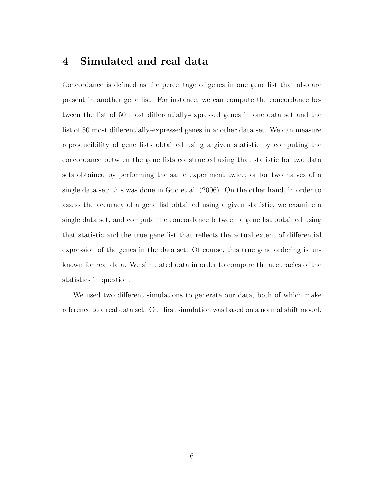## 4 Simulated and real data

Concordance is defined as the percentage of genes in one gene list that also are present in another gene list. For instance, we can compute the concordance between the list of 50 most differentially-expressed genes in one data set and the list of 50 most differentially-expressed genes in another data set. We can measure reproducibility of gene lists obtained using a given statistic by computing the concordance between the gene lists constructed using that statistic for two data sets obtained by performing the same experiment twice, or for two halves of a single data set; this was done in Guo et al. (2006). On the other hand, in order to assess the accuracy of a gene list obtained using a given statistic, we examine a single data set, and compute the concordance between a gene list obtained using that statistic and the true gene list that reflects the actual extent of differential expression of the genes in the data set. Of course, this true gene ordering is unknown for real data. We simulated data in order to compare the accuracies of the statistics in question.

We used two different simulations to generate our data, both of which make reference to a real data set. Our first simulation was based on a normal shift model.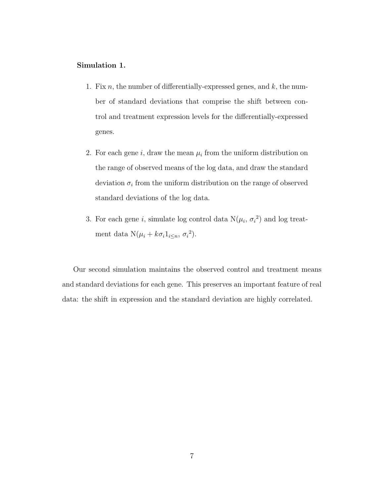#### Simulation 1.

- 1. Fix n, the number of differentially-expressed genes, and  $k$ , the number of standard deviations that comprise the shift between control and treatment expression levels for the differentially-expressed genes.
- 2. For each gene  $i$ , draw the mean  $\mu_i$  from the uniform distribution on the range of observed means of the log data, and draw the standard deviation  $\sigma_i$  from the uniform distribution on the range of observed standard deviations of the log data.
- 3. For each gene i, simulate log control data  $N(\mu_i, \sigma_i^2)$  and log treatment data  $N(\mu_i + k\sigma_i 1_{i \leq n}, \sigma_i^2)$ .

Our second simulation maintains the observed control and treatment means and standard deviations for each gene. This preserves an important feature of real data: the shift in expression and the standard deviation are highly correlated.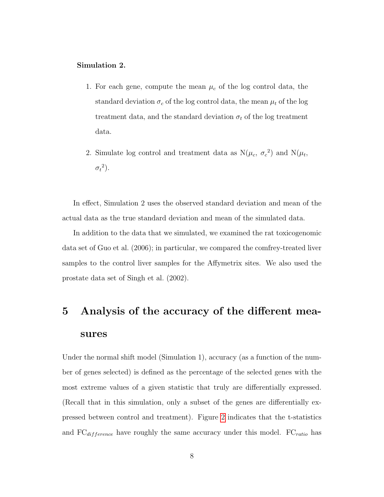#### Simulation 2.

- 1. For each gene, compute the mean  $\mu_c$  of the log control data, the standard deviation  $\sigma_c$  of the log control data, the mean  $\mu_t$  of the log treatment data, and the standard deviation  $\sigma_t$  of the log treatment data.
- 2. Simulate log control and treatment data as  $N(\mu_c, \sigma_c^2)$  and  $N(\mu_t, \sigma_c^2)$  $\sigma_t{}^2$ ).

In effect, Simulation 2 uses the observed standard deviation and mean of the actual data as the true standard deviation and mean of the simulated data.

In addition to the data that we simulated, we examined the rat toxicogenomic data set of Guo et al. (2006); in particular, we compared the comfrey-treated liver samples to the control liver samples for the Affymetrix sites. We also used the prostate data set of Singh et al. (2002).

# 5 Analysis of the accuracy of the different measures

Under the normal shift model (Simulation 1), accuracy (as a function of the number of genes selected) is defined as the percentage of the selected genes with the most extreme values of a given statistic that truly are differentially expressed. (Recall that in this simulation, only a subset of the genes are differentially expressed between control and treatment). Figure [2](#page-8-0) indicates that the t-statistics and  $FC_{difference}$  have roughly the same accuracy under this model.  $FC_{ratio}$  has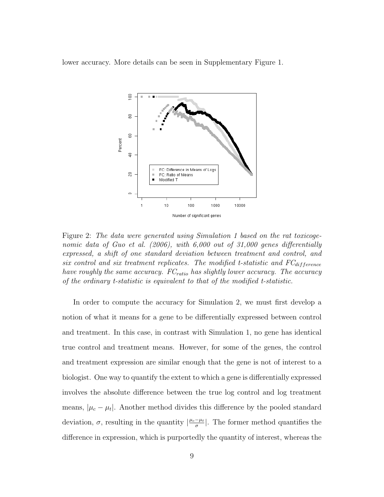lower accuracy. More details can be seen in Supplementary Figure 1.



<span id="page-8-0"></span>Figure 2: The data were generated using Simulation 1 based on the rat toxicogenomic data of Guo et al. (2006), with 6,000 out of 31,000 genes differentially expressed, a shift of one standard deviation between treatment and control, and six control and six treatment replicates. The modified t-statistic and  $FC_{difference}$ have roughly the same accuracy.  $FC_{ratio}$  has slightly lower accuracy. The accuracy of the ordinary t-statistic is equivalent to that of the modified t-statistic.

In order to compute the accuracy for Simulation 2, we must first develop a notion of what it means for a gene to be differentially expressed between control and treatment. In this case, in contrast with Simulation 1, no gene has identical true control and treatment means. However, for some of the genes, the control and treatment expression are similar enough that the gene is not of interest to a biologist. One way to quantify the extent to which a gene is differentially expressed involves the absolute difference between the true log control and log treatment means,  $|\mu_c - \mu_t|$ . Another method divides this difference by the pooled standard deviation,  $\sigma$ , resulting in the quantity  $\left|\frac{\mu_c-\mu_t}{\sigma}\right|$  $\frac{-\mu_t}{\sigma}$ . The former method quantifies the difference in expression, which is purportedly the quantity of interest, whereas the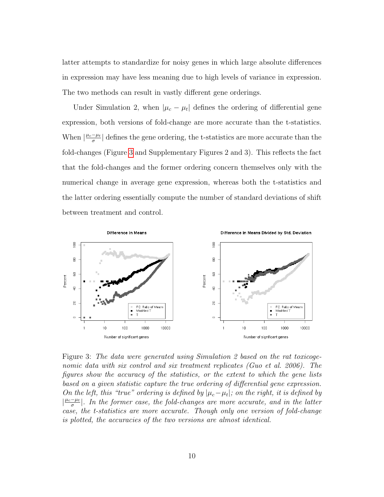latter attempts to standardize for noisy genes in which large absolute differences in expression may have less meaning due to high levels of variance in expression. The two methods can result in vastly different gene orderings.

Under Simulation 2, when  $|\mu_c - \mu_t|$  defines the ordering of differential gene expression, both versions of fold-change are more accurate than the t-statistics. When  $\frac{\mu_c-\mu_t}{\sigma}$  $\frac{-\mu_t}{\sigma}$  defines the gene ordering, the t-statistics are more accurate than the fold-changes (Figure [3](#page-9-0) and Supplementary Figures 2 and 3). This reflects the fact that the fold-changes and the former ordering concern themselves only with the numerical change in average gene expression, whereas both the t-statistics and the latter ordering essentially compute the number of standard deviations of shift between treatment and control.



<span id="page-9-0"></span>Figure 3: The data were generated using Simulation 2 based on the rat toxicogenomic data with six control and six treatment replicates (Guo et al. 2006). The figures show the accuracy of the statistics, or the extent to which the gene lists based on a given statistic capture the true ordering of differential gene expression. On the left, this "true" ordering is defined by  $|\mu_c - \mu_t|$ ; on the right, it is defined by  $\frac{\mu_c-\mu_t}{\sigma}$  $\frac{-\mu_t}{\sigma}$ . In the former case, the fold-changes are more accurate, and in the latter case, the t-statistics are more accurate. Though only one version of fold-change is plotted, the accuracies of the two versions are almost identical.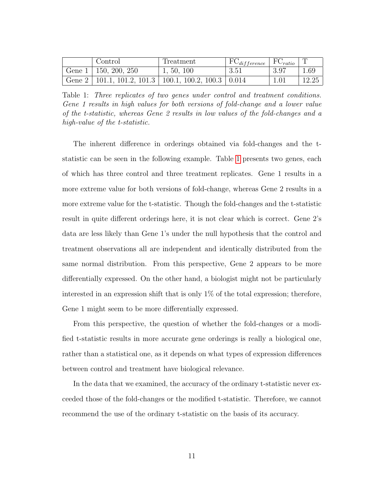| Control                                                               | Treatment  | $\mid \text{FC}_{difference} \mid \text{FC}_{ratio} \mid \text{T}$ |      |       |
|-----------------------------------------------------------------------|------------|--------------------------------------------------------------------|------|-------|
| Gene $1 \mid 150, 200, 250$                                           | 1, 50, 100 | $-3.51$                                                            | 3.97 | 1.69  |
| Gene $2 \mid 101.1, 101.2, 101.3 \mid 100.1, 100.2, 100.3 \mid 0.014$ |            |                                                                    | 1.01 | 12.25 |

<span id="page-10-0"></span>Table 1: Three replicates of two genes under control and treatment conditions. Gene 1 results in high values for both versions of fold-change and a lower value of the t-statistic, whereas Gene 2 results in low values of the fold-changes and a high-value of the t-statistic.

The inherent difference in orderings obtained via fold-changes and the tstatistic can be seen in the following example. Table [1](#page-10-0) presents two genes, each of which has three control and three treatment replicates. Gene 1 results in a more extreme value for both versions of fold-change, whereas Gene 2 results in a more extreme value for the t-statistic. Though the fold-changes and the t-statistic result in quite different orderings here, it is not clear which is correct. Gene 2's data are less likely than Gene 1's under the null hypothesis that the control and treatment observations all are independent and identically distributed from the same normal distribution. From this perspective, Gene 2 appears to be more differentially expressed. On the other hand, a biologist might not be particularly interested in an expression shift that is only  $1\%$  of the total expression; therefore, Gene 1 might seem to be more differentially expressed.

From this perspective, the question of whether the fold-changes or a modified t-statistic results in more accurate gene orderings is really a biological one, rather than a statistical one, as it depends on what types of expression differences between control and treatment have biological relevance.

In the data that we examined, the accuracy of the ordinary t-statistic never exceeded those of the fold-changes or the modified t-statistic. Therefore, we cannot recommend the use of the ordinary t-statistic on the basis of its accuracy.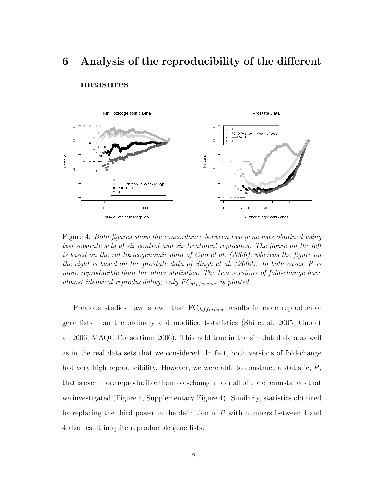# 6 Analysis of the reproducibility of the different measures



<span id="page-11-0"></span>Figure 4: Both figures show the concordance between two gene lists obtained using two separate sets of six control and six treatment replicates. The figure on the left is based on the rat toxicogenomic data of Guo et al. (2006), whereas the figure on the right is based on the prostate data of Singh et al. (2002). In both cases, P is more reproducible than the other statistics. The two versions of fold-change have almost identical reproducibility; only  $FC_{difference}$  is plotted.

Previous studies have shown that  $FC_{difference}$  results in more reproducible gene lists than the ordinary and modified t-statistics (Shi et al. 2005, Guo et al. 2006, MAQC Consortium 2006). This held true in the simulated data as well as in the real data sets that we considered. In fact, both versions of fold-change had very high reproducibility. However, we were able to construct a statistic,  $P$ , that is even more reproducible than fold-change under all of the circumstances that we investigated (Figure [4,](#page-11-0) Supplementary Figure 4). Similarly, statistics obtained by replacing the third power in the definition of P with numbers between 1 and 4 also result in quite reproducible gene lists.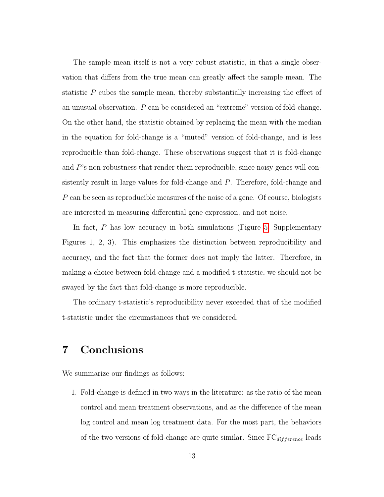The sample mean itself is not a very robust statistic, in that a single observation that differs from the true mean can greatly affect the sample mean. The statistic P cubes the sample mean, thereby substantially increasing the effect of an unusual observation. P can be considered an "extreme" version of fold-change. On the other hand, the statistic obtained by replacing the mean with the median in the equation for fold-change is a "muted" version of fold-change, and is less reproducible than fold-change. These observations suggest that it is fold-change and P's non-robustness that render them reproducible, since noisy genes will consistently result in large values for fold-change and P. Therefore, fold-change and P can be seen as reproducible measures of the noise of a gene. Of course, biologists are interested in measuring differential gene expression, and not noise.

In fact,  $P$  has low accuracy in both simulations (Figure [5,](#page-13-0) Supplementary Figures 1, 2, 3). This emphasizes the distinction between reproducibility and accuracy, and the fact that the former does not imply the latter. Therefore, in making a choice between fold-change and a modified t-statistic, we should not be swayed by the fact that fold-change is more reproducible.

The ordinary t-statistic's reproducibility never exceeded that of the modified t-statistic under the circumstances that we considered.

## 7 Conclusions

We summarize our findings as follows:

1. Fold-change is defined in two ways in the literature: as the ratio of the mean control and mean treatment observations, and as the difference of the mean log control and mean log treatment data. For the most part, the behaviors of the two versions of fold-change are quite similar. Since  $FC_{difference}$  leads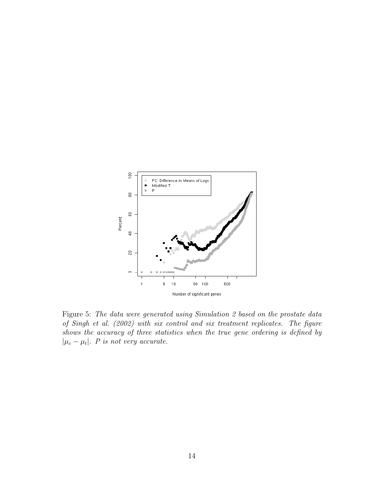

<span id="page-13-0"></span>Figure 5: The data were generated using Simulation 2 based on the prostate data of Singh et al. (2002) with six control and six treatment replicates. The figure shows the accuracy of three statistics when the true gene ordering is defined by  $|\mu_c - \mu_t|$ . *P* is not very accurate.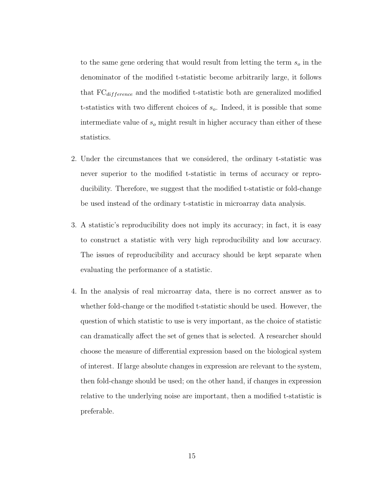to the same gene ordering that would result from letting the term  $s<sub>o</sub>$  in the denominator of the modified t-statistic become arbitrarily large, it follows that  $FC_{difference}$  and the modified t-statistic both are generalized modified t-statistics with two different choices of  $s<sub>o</sub>$ . Indeed, it is possible that some intermediate value of  $s_o$  might result in higher accuracy than either of these statistics.

- 2. Under the circumstances that we considered, the ordinary t-statistic was never superior to the modified t-statistic in terms of accuracy or reproducibility. Therefore, we suggest that the modified t-statistic or fold-change be used instead of the ordinary t-statistic in microarray data analysis.
- 3. A statistic's reproducibility does not imply its accuracy; in fact, it is easy to construct a statistic with very high reproducibility and low accuracy. The issues of reproducibility and accuracy should be kept separate when evaluating the performance of a statistic.
- 4. In the analysis of real microarray data, there is no correct answer as to whether fold-change or the modified t-statistic should be used. However, the question of which statistic to use is very important, as the choice of statistic can dramatically affect the set of genes that is selected. A researcher should choose the measure of differential expression based on the biological system of interest. If large absolute changes in expression are relevant to the system, then fold-change should be used; on the other hand, if changes in expression relative to the underlying noise are important, then a modified t-statistic is preferable.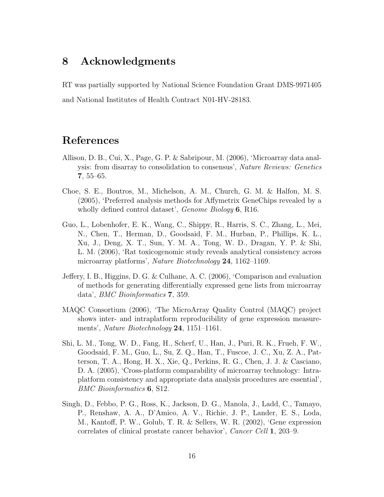## 8 Acknowledgments

RT was partially supported by National Science Foundation Grant DMS-9971405 and National Institutes of Health Contract N01-HV-28183.

## References

- Allison, D. B., Cui, X., Page, G. P. & Sabripour, M. (2006), 'Microarray data analysis: from disarray to consolidation to consensus', Nature Reviews: Genetics 7, 55–65.
- Choe, S. E., Boutros, M., Michelson, A. M., Church, G. M. & Halfon, M. S. (2005), 'Preferred analysis methods for Affymetrix GeneChips revealed by a wholly defined control dataset', *Genome Biology* **6**, R16.
- Guo, L., Lobenhofer, E. K., Wang, C., Shippy, R., Harris, S. C., Zhang, L., Mei, N., Chen, T., Herman, D., Goodsaid, F. M., Hurban, P., Phillips, K. L., Xu, J., Deng, X. T., Sun, Y. M. A., Tong, W. D., Dragan, Y. P. & Shi, L. M. (2006), 'Rat toxicogenomic study reveals analytical consistency across microarray platforms', Nature Biotechnology 24, 1162–1169.
- Jeffery, I. B., Higgins, D. G. & Culhane, A. C. (2006), 'Comparison and evaluation of methods for generating differentially expressed gene lists from microarray data', BMC Bioinformatics 7, 359.
- MAQC Consortium (2006), 'The MicroArray Quality Control (MAQC) project shows inter- and intraplatform reproducibility of gene expression measurements', *Nature Biotechnology* **24**, 1151–1161.
- Shi, L. M., Tong, W. D., Fang, H., Scherf, U., Han, J., Puri, R. K., Frueh, F. W., Goodsaid, F. M., Guo, L., Su, Z. Q., Han, T., Fuscoe, J. C., Xu, Z. A., Patterson, T. A., Hong, H. X., Xie, Q., Perkins, R. G., Chen, J. J. & Casciano, D. A. (2005), 'Cross-platform comparability of microarray technology: Intraplatform consistency and appropriate data analysis procedures are essential', BMC Bioinformatics 6, S12.
- Singh, D., Febbo, P. G., Ross, K., Jackson, D. G., Manola, J., Ladd, C., Tamayo, P., Renshaw, A. A., D'Amico, A. V., Richie, J. P., Lander, E. S., Loda, M., Kantoff, P. W., Golub, T. R. & Sellers, W. R. (2002), 'Gene expression correlates of clinical prostate cancer behavior', Cancer Cell 1, 203–9.